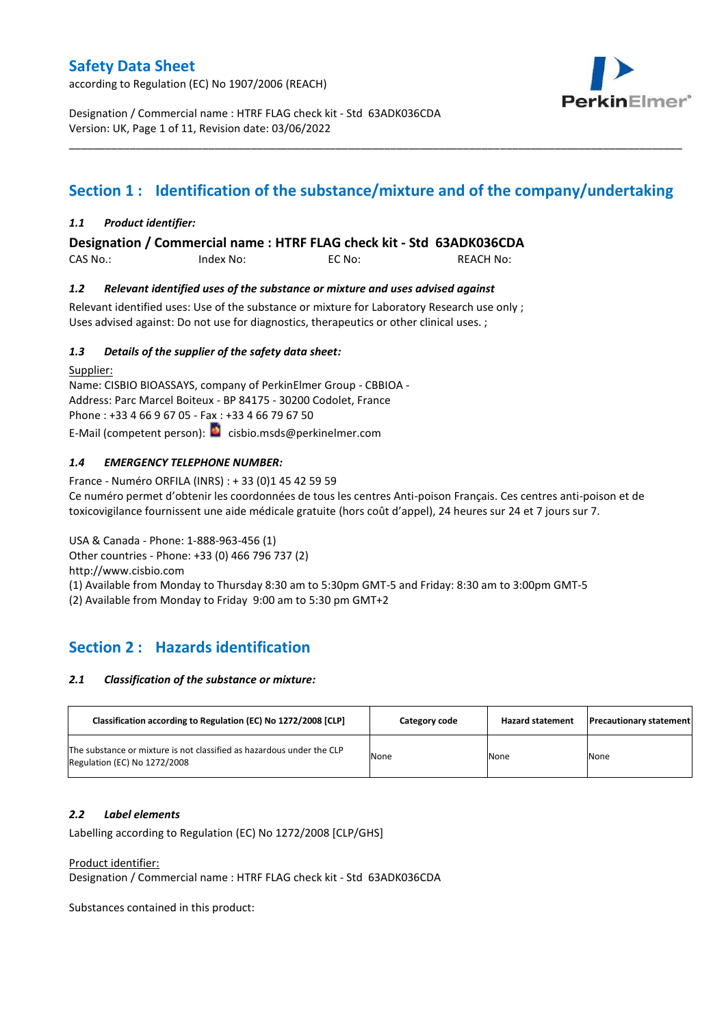according to Regulation (EC) No 1907/2006 (REACH)



Designation / Commercial name : HTRF FLAG check kit - Std 63ADK036CDA Version: UK, Page 1 of 11, Revision date: 03/06/2022

# **Section 1 : Identification of the substance/mixture and of the company/undertaking**

\_\_\_\_\_\_\_\_\_\_\_\_\_\_\_\_\_\_\_\_\_\_\_\_\_\_\_\_\_\_\_\_\_\_\_\_\_\_\_\_\_\_\_\_\_\_\_\_\_\_\_\_\_\_\_\_\_\_\_\_\_\_\_\_\_\_\_\_\_\_\_\_\_\_\_\_\_\_\_\_\_\_\_\_\_\_\_\_\_\_\_\_\_\_\_\_\_\_\_\_\_

### *1.1 Product identifier:*

**Designation / Commercial name : HTRF FLAG check kit - Std 63ADK036CDA** 

CAS No.: Index No: EC No: REACH No:

#### *1.2 Relevant identified uses of the substance or mixture and uses advised against*

Relevant identified uses: Use of the substance or mixture for Laboratory Research use only; Uses advised against: Do not use for diagnostics, therapeutics or other clinical uses. ;

### *1.3 Details of the supplier of the safety data sheet:*

Supplier: Name: CISBIO BIOASSAYS, company of PerkinElmer Group - CBBIOA - Address: Parc Marcel Boiteux - BP 84175 - 30200 Codolet, France Phone : +33 4 66 9 67 05 - Fax : +33 4 66 79 67 50 E-Mail (competent person): **c**isbio.msds@perkinelmer.com

### *1.4 EMERGENCY TELEPHONE NUMBER:*

France - Numéro ORFILA (INRS) : + 33 (0)1 45 42 59 59 Ce numéro permet d'obtenir les coordonnées de tous les centres Anti-poison Français. Ces centres anti-poison et de toxicovigilance fournissent une aide médicale gratuite (hors coût d'appel), 24 heures sur 24 et 7 jours sur 7.

USA & Canada - Phone: 1-888-963-456 (1) Other countries - Phone: +33 (0) 466 796 737 (2) http://www.cisbio.com

(1) Available from Monday to Thursday 8:30 am to 5:30pm GMT-5 and Friday: 8:30 am to 3:00pm GMT-5

(2) Available from Monday to Friday 9:00 am to 5:30 pm GMT+2

## **Section 2 : Hazards identification**

#### *2.1 Classification of the substance or mixture:*

| Classification according to Regulation (EC) No 1272/2008 [CLP]                                        | Category code | <b>Hazard statement</b> | <b>Precautionary statement</b> |
|-------------------------------------------------------------------------------------------------------|---------------|-------------------------|--------------------------------|
| The substance or mixture is not classified as hazardous under the CLP<br>Regulation (EC) No 1272/2008 | None          | None                    | None                           |

#### *2.2 Label elements*

Labelling according to Regulation (EC) No 1272/2008 [CLP/GHS]

Product identifier:

Designation / Commercial name : HTRF FLAG check kit - Std 63ADK036CDA

Substances contained in this product: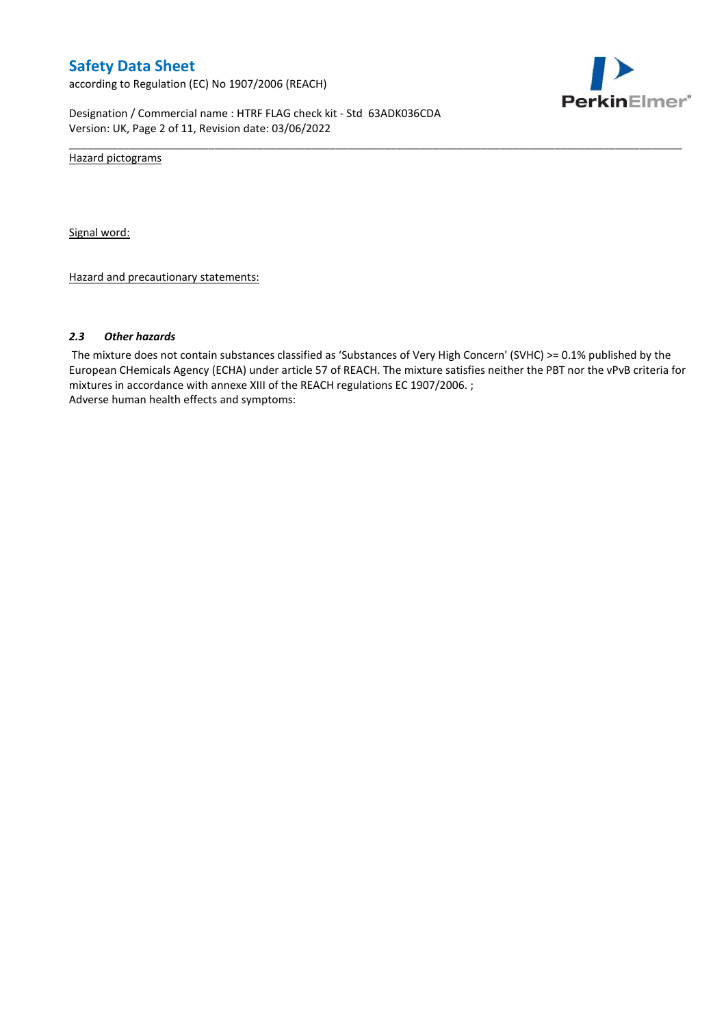according to Regulation (EC) No 1907/2006 (REACH)



Designation / Commercial name : HTRF FLAG check kit - Std 63ADK036CDA Version: UK, Page 2 of 11, Revision date: 03/06/2022

Hazard pictograms

Signal word:

Hazard and precautionary statements:

#### *2.3 Other hazards*

The mixture does not contain substances classified as 'Substances of Very High Concern' (SVHC) >= 0.1% published by the European CHemicals Agency (ECHA) under article 57 of REACH. The mixture satisfies neither the PBT nor the vPvB criteria for mixtures in accordance with annexe XIII of the REACH regulations EC 1907/2006. ; Adverse human health effects and symptoms:

\_\_\_\_\_\_\_\_\_\_\_\_\_\_\_\_\_\_\_\_\_\_\_\_\_\_\_\_\_\_\_\_\_\_\_\_\_\_\_\_\_\_\_\_\_\_\_\_\_\_\_\_\_\_\_\_\_\_\_\_\_\_\_\_\_\_\_\_\_\_\_\_\_\_\_\_\_\_\_\_\_\_\_\_\_\_\_\_\_\_\_\_\_\_\_\_\_\_\_\_\_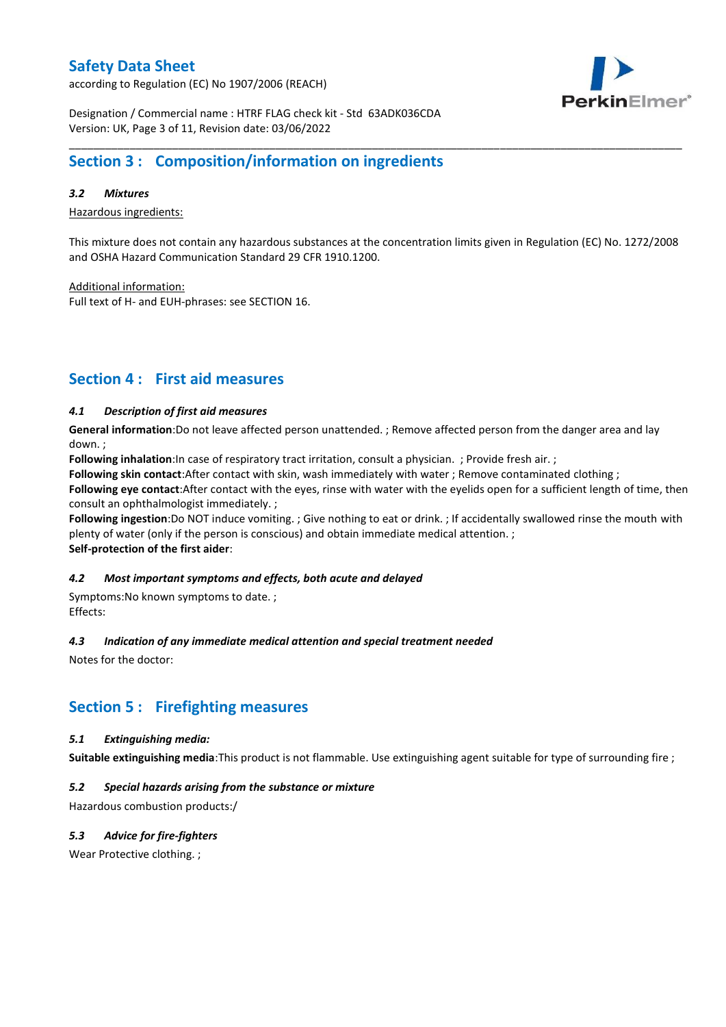according to Regulation (EC) No 1907/2006 (REACH)



Designation / Commercial name : HTRF FLAG check kit - Std 63ADK036CDA Version: UK, Page 3 of 11, Revision date: 03/06/2022

## **Section 3 : Composition/information on ingredients**

### *3.2 Mixtures*

Hazardous ingredients:

This mixture does not contain any hazardous substances at the concentration limits given in Regulation (EC) No. 1272/2008 and OSHA Hazard Communication Standard 29 CFR 1910.1200.

\_\_\_\_\_\_\_\_\_\_\_\_\_\_\_\_\_\_\_\_\_\_\_\_\_\_\_\_\_\_\_\_\_\_\_\_\_\_\_\_\_\_\_\_\_\_\_\_\_\_\_\_\_\_\_\_\_\_\_\_\_\_\_\_\_\_\_\_\_\_\_\_\_\_\_\_\_\_\_\_\_\_\_\_\_\_\_\_\_\_\_\_\_\_\_\_\_\_\_\_\_

Additional information:

Full text of H- and EUH-phrases: see SECTION 16.

## **Section 4 : First aid measures**

### *4.1 Description of first aid measures*

**General information**:Do not leave affected person unattended. ; Remove affected person from the danger area and lay down. ;

**Following inhalation**:In case of respiratory tract irritation, consult a physician. ; Provide fresh air. ;

**Following skin contact**:After contact with skin, wash immediately with water ; Remove contaminated clothing ;

**Following eye contact**:After contact with the eyes, rinse with water with the eyelids open for a sufficient length of time, then consult an ophthalmologist immediately. ;

**Following ingestion**:Do NOT induce vomiting. ; Give nothing to eat or drink. ; If accidentally swallowed rinse the mouth with plenty of water (only if the person is conscious) and obtain immediate medical attention. ; **Self-protection of the first aider**:

#### *4.2 Most important symptoms and effects, both acute and delayed*

Symptoms:No known symptoms to date. ; Effects:

#### *4.3 Indication of any immediate medical attention and special treatment needed*

Notes for the doctor:

## **Section 5 : Firefighting measures**

### *5.1 Extinguishing media:*

**Suitable extinguishing media**:This product is not flammable. Use extinguishing agent suitable for type of surrounding fire ;

### *5.2 Special hazards arising from the substance or mixture*

Hazardous combustion products:/

### *5.3 Advice for fire-fighters*

Wear Protective clothing. ;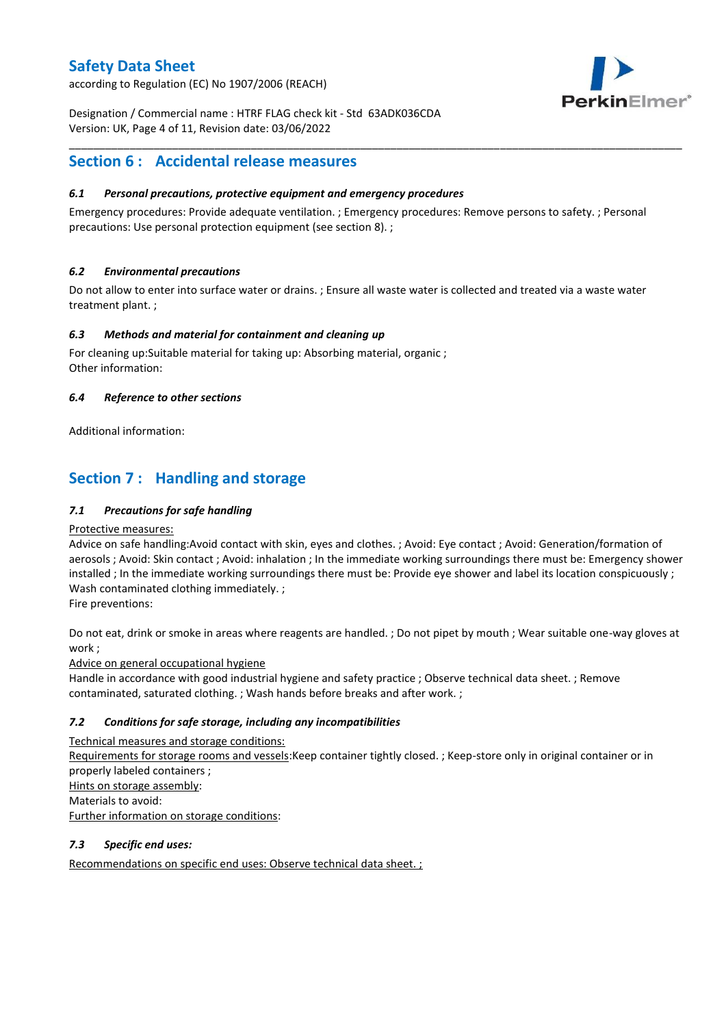according to Regulation (EC) No 1907/2006 (REACH)



Designation / Commercial name : HTRF FLAG check kit - Std 63ADK036CDA Version: UK, Page 4 of 11, Revision date: 03/06/2022

## **Section 6 : Accidental release measures**

### *6.1 Personal precautions, protective equipment and emergency procedures*

Emergency procedures: Provide adequate ventilation. ; Emergency procedures: Remove persons to safety. ; Personal precautions: Use personal protection equipment (see section 8). ;

\_\_\_\_\_\_\_\_\_\_\_\_\_\_\_\_\_\_\_\_\_\_\_\_\_\_\_\_\_\_\_\_\_\_\_\_\_\_\_\_\_\_\_\_\_\_\_\_\_\_\_\_\_\_\_\_\_\_\_\_\_\_\_\_\_\_\_\_\_\_\_\_\_\_\_\_\_\_\_\_\_\_\_\_\_\_\_\_\_\_\_\_\_\_\_\_\_\_\_\_\_

### *6.2 Environmental precautions*

Do not allow to enter into surface water or drains. ; Ensure all waste water is collected and treated via a waste water treatment plant. ;

### *6.3 Methods and material for containment and cleaning up*

For cleaning up:Suitable material for taking up: Absorbing material, organic ; Other information:

### *6.4 Reference to other sections*

Additional information:

## **Section 7 : Handling and storage**

### *7.1 Precautions for safe handling*

#### Protective measures:

Advice on safe handling:Avoid contact with skin, eyes and clothes. ; Avoid: Eye contact ; Avoid: Generation/formation of aerosols ; Avoid: Skin contact ; Avoid: inhalation ; In the immediate working surroundings there must be: Emergency shower installed ; In the immediate working surroundings there must be: Provide eye shower and label its location conspicuously ; Wash contaminated clothing immediately. ;

Fire preventions:

Do not eat, drink or smoke in areas where reagents are handled. ; Do not pipet by mouth ; Wear suitable one-way gloves at work ;

Advice on general occupational hygiene

Handle in accordance with good industrial hygiene and safety practice ; Observe technical data sheet. ; Remove contaminated, saturated clothing. ; Wash hands before breaks and after work. ;

### *7.2 Conditions for safe storage, including any incompatibilities*

Technical measures and storage conditions: Requirements for storage rooms and vessels:Keep container tightly closed. ; Keep-store only in original container or in properly labeled containers ; Hints on storage assembly: Materials to avoid: Further information on storage conditions:

### *7.3 Specific end uses:*

Recommendations on specific end uses: Observe technical data sheet. ;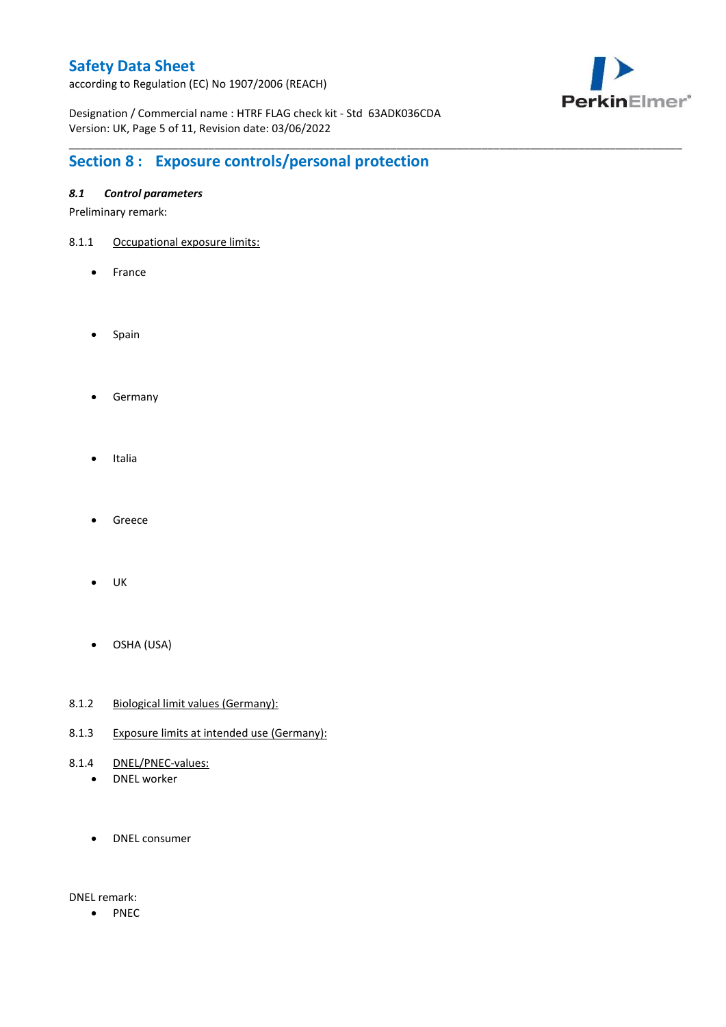according to Regulation (EC) No 1907/2006 (REACH)



Designation / Commercial name : HTRF FLAG check kit - Std 63ADK036CDA Version: UK, Page 5 of 11, Revision date: 03/06/2022

\_\_\_\_\_\_\_\_\_\_\_\_\_\_\_\_\_\_\_\_\_\_\_\_\_\_\_\_\_\_\_\_\_\_\_\_\_\_\_\_\_\_\_\_\_\_\_\_\_\_\_\_\_\_\_\_\_\_\_\_\_\_\_\_\_\_\_\_\_\_\_\_\_\_\_\_\_\_\_\_\_\_\_\_\_\_\_\_\_\_\_\_\_\_\_\_\_\_\_\_\_

# **Section 8 : Exposure controls/personal protection**

### *8.1 Control parameters*

Preliminary remark:

- 8.1.1 Occupational exposure limits:
	- France
	- Spain
	- **•** Germany
	- Italia
	- Greece
	- $\bullet$  UK
	- OSHA (USA)
- 8.1.2 Biological limit values (Germany):
- 8.1.3 Exposure limits at intended use (Germany):
- 8.1.4 DNEL/PNEC-values:
	- DNEL worker
	- DNEL consumer

DNEL remark:

• PNEC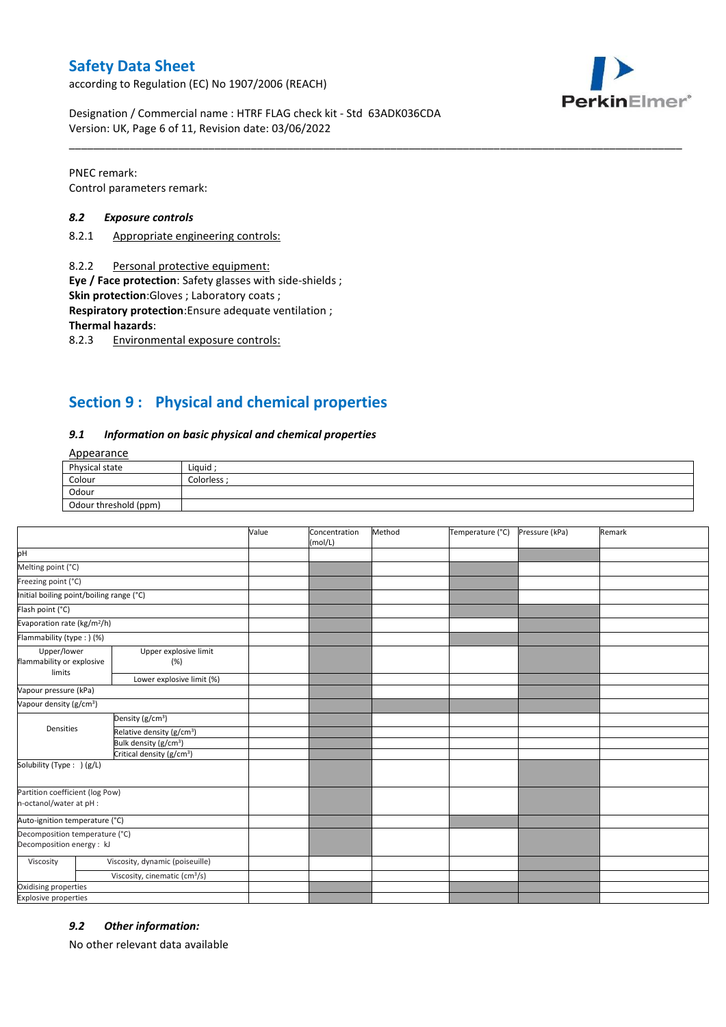according to Regulation (EC) No 1907/2006 (REACH)



Designation / Commercial name : HTRF FLAG check kit - Std 63ADK036CDA Version: UK, Page 6 of 11, Revision date: 03/06/2022

PNEC remark: Control parameters remark:

#### *8.2 Exposure controls*

- 8.2.1 Appropriate engineering controls:
- 8.2.2 Personal protective equipment:

**Eye / Face protection**: Safety glasses with side-shields ;

**Skin protection**:Gloves ; Laboratory coats ;

**Respiratory protection**:Ensure adequate ventilation ;

**Thermal hazards**:

8.2.3 Environmental exposure controls:

## **Section 9 : Physical and chemical properties**

#### *9.1 Information on basic physical and chemical properties*

### Appearance

| Physical state        | Liauid    |
|-----------------------|-----------|
| Colour                | Colorless |
| Odour                 |           |
| Odour threshold (ppm) |           |

\_\_\_\_\_\_\_\_\_\_\_\_\_\_\_\_\_\_\_\_\_\_\_\_\_\_\_\_\_\_\_\_\_\_\_\_\_\_\_\_\_\_\_\_\_\_\_\_\_\_\_\_\_\_\_\_\_\_\_\_\_\_\_\_\_\_\_\_\_\_\_\_\_\_\_\_\_\_\_\_\_\_\_\_\_\_\_\_\_\_\_\_\_\_\_\_\_\_\_\_\_

|                                                             |                                           | Value | Concentration<br>(mol/L) | Method | Temperature (°C) | Pressure (kPa) | Remark |
|-------------------------------------------------------------|-------------------------------------------|-------|--------------------------|--------|------------------|----------------|--------|
| pH                                                          |                                           |       |                          |        |                  |                |        |
| Melting point (°C)                                          |                                           |       |                          |        |                  |                |        |
| Freezing point (°C)                                         |                                           |       |                          |        |                  |                |        |
| Initial boiling point/boiling range (°C)                    |                                           |       |                          |        |                  |                |        |
| Flash point (°C)                                            |                                           |       |                          |        |                  |                |        |
| Evaporation rate (kg/m <sup>2</sup> /h)                     |                                           |       |                          |        |                  |                |        |
| Flammability (type: ) (%)                                   |                                           |       |                          |        |                  |                |        |
| Upper/lower<br>flammability or explosive<br>limits          | Upper explosive limit<br>(%)              |       |                          |        |                  |                |        |
|                                                             | Lower explosive limit (%)                 |       |                          |        |                  |                |        |
| Vapour pressure (kPa)                                       |                                           |       |                          |        |                  |                |        |
| Vapour density (g/cm <sup>3</sup> )                         |                                           |       |                          |        |                  |                |        |
| Densities                                                   | Density (g/cm <sup>3</sup> )              |       |                          |        |                  |                |        |
|                                                             | Relative density (g/cm <sup>3</sup> )     |       |                          |        |                  |                |        |
|                                                             | Bulk density (g/cm <sup>3</sup> )         |       |                          |        |                  |                |        |
|                                                             | Critical density (g/cm <sup>3</sup> )     |       |                          |        |                  |                |        |
| Solubility (Type: ) (g/L)                                   |                                           |       |                          |        |                  |                |        |
| Partition coefficient (log Pow)<br>n-octanol/water at pH :  |                                           |       |                          |        |                  |                |        |
| Auto-ignition temperature (°C)                              |                                           |       |                          |        |                  |                |        |
| Decomposition temperature (°C)<br>Decomposition energy : kJ |                                           |       |                          |        |                  |                |        |
| Viscosity                                                   | Viscosity, dynamic (poiseuille)           |       |                          |        |                  |                |        |
|                                                             | Viscosity, cinematic (cm <sup>3</sup> /s) |       |                          |        |                  |                |        |
| Oxidising properties                                        |                                           |       |                          |        |                  |                |        |
| <b>Explosive properties</b>                                 |                                           |       |                          |        |                  |                |        |

#### *9.2 Other information:*

No other relevant data available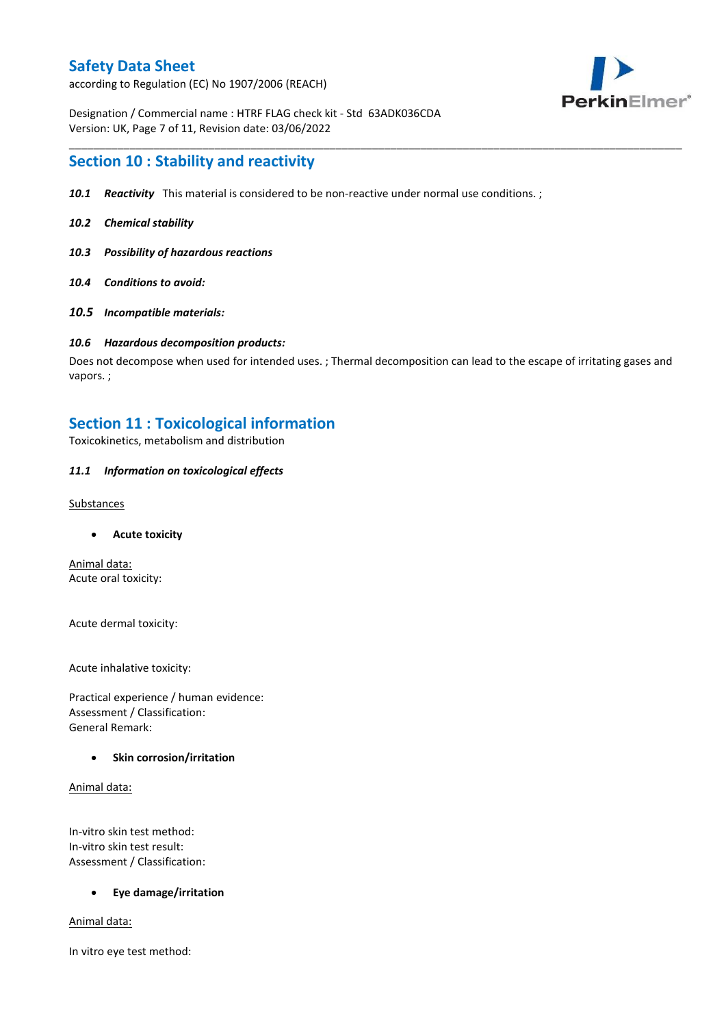according to Regulation (EC) No 1907/2006 (REACH)



Designation / Commercial name : HTRF FLAG check kit - Std 63ADK036CDA Version: UK, Page 7 of 11, Revision date: 03/06/2022

## **Section 10 : Stability and reactivity**

- *10.1 Reactivity* This material is considered to be non-reactive under normal use conditions. ;
- *10.2 Chemical stability*
- *10.3 Possibility of hazardous reactions*
- *10.4 Conditions to avoid:*
- *10.5 Incompatible materials:*

#### *10.6 Hazardous decomposition products:*

Does not decompose when used for intended uses. ; Thermal decomposition can lead to the escape of irritating gases and vapors. ;

\_\_\_\_\_\_\_\_\_\_\_\_\_\_\_\_\_\_\_\_\_\_\_\_\_\_\_\_\_\_\_\_\_\_\_\_\_\_\_\_\_\_\_\_\_\_\_\_\_\_\_\_\_\_\_\_\_\_\_\_\_\_\_\_\_\_\_\_\_\_\_\_\_\_\_\_\_\_\_\_\_\_\_\_\_\_\_\_\_\_\_\_\_\_\_\_\_\_\_\_\_

### **Section 11 : Toxicological information**

Toxicokinetics, metabolism and distribution

#### *11.1 Information on toxicological effects*

#### **Substances**

**Acute toxicity**

Animal data: Acute oral toxicity:

Acute dermal toxicity:

Acute inhalative toxicity:

Practical experience / human evidence: Assessment / Classification: General Remark:

#### **Skin corrosion/irritation**

Animal data:

In-vitro skin test method: In-vitro skin test result: Assessment / Classification:

#### **Eye damage/irritation**

Animal data:

In vitro eye test method: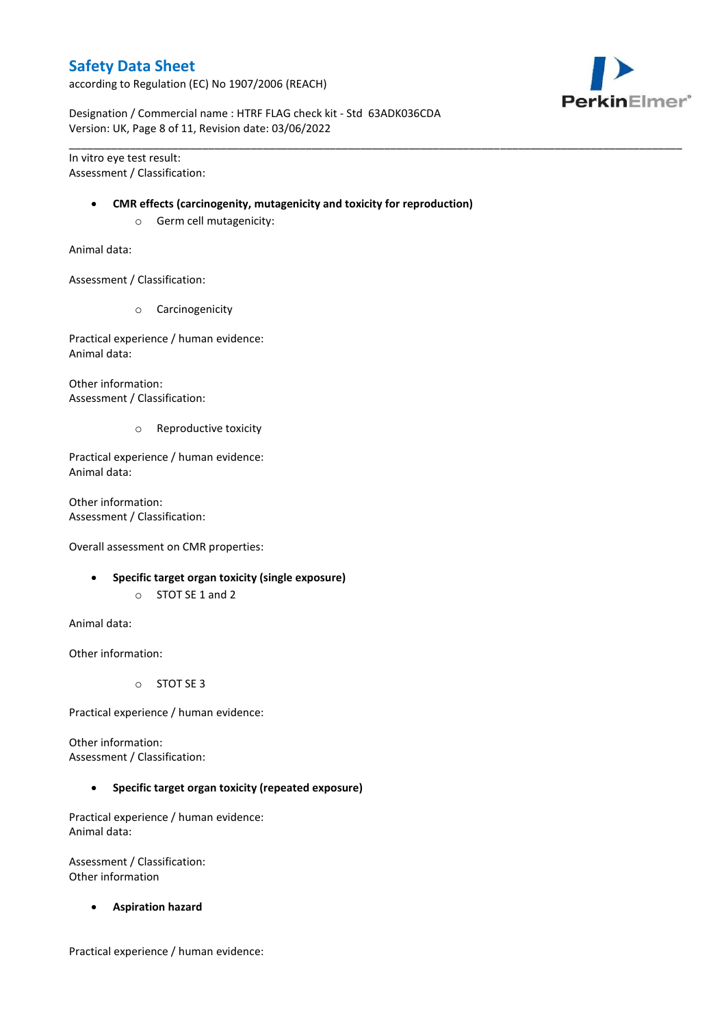according to Regulation (EC) No 1907/2006 (REACH)



Designation / Commercial name : HTRF FLAG check kit - Std 63ADK036CDA Version: UK, Page 8 of 11, Revision date: 03/06/2022

In vitro eye test result: Assessment / Classification:

#### **CMR effects (carcinogenity, mutagenicity and toxicity for reproduction)**

\_\_\_\_\_\_\_\_\_\_\_\_\_\_\_\_\_\_\_\_\_\_\_\_\_\_\_\_\_\_\_\_\_\_\_\_\_\_\_\_\_\_\_\_\_\_\_\_\_\_\_\_\_\_\_\_\_\_\_\_\_\_\_\_\_\_\_\_\_\_\_\_\_\_\_\_\_\_\_\_\_\_\_\_\_\_\_\_\_\_\_\_\_\_\_\_\_\_\_\_\_

o Germ cell mutagenicity:

Animal data:

Assessment / Classification:

o Carcinogenicity

Practical experience / human evidence: Animal data:

Other information: Assessment / Classification:

o Reproductive toxicity

Practical experience / human evidence: Animal data:

Other information: Assessment / Classification:

Overall assessment on CMR properties:

- **Specific target organ toxicity (single exposure)**
	- o STOT SE 1 and 2

Animal data:

Other information:

o STOT SE 3

Practical experience / human evidence:

Other information: Assessment / Classification:

**Specific target organ toxicity (repeated exposure)**

Practical experience / human evidence: Animal data:

Assessment / Classification: Other information

**Aspiration hazard**

Practical experience / human evidence: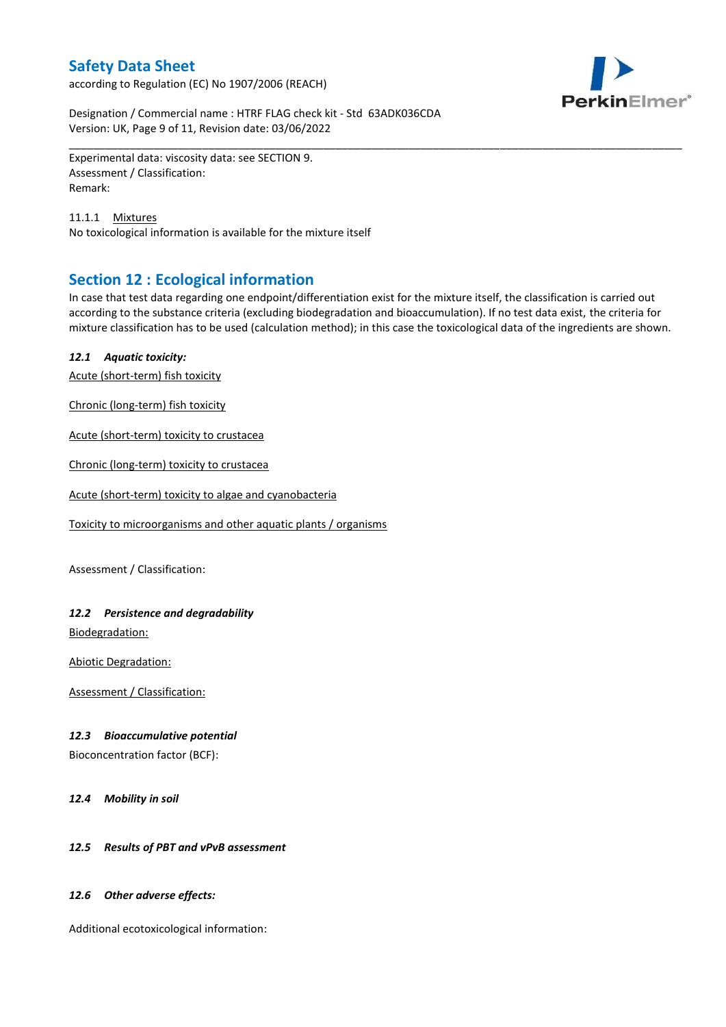according to Regulation (EC) No 1907/2006 (REACH)



Designation / Commercial name : HTRF FLAG check kit - Std 63ADK036CDA Version: UK, Page 9 of 11, Revision date: 03/06/2022

Experimental data: viscosity data: see SECTION 9. Assessment / Classification: Remark:

11.1.1 Mixtures No toxicological information is available for the mixture itself

## **Section 12 : Ecological information**

In case that test data regarding one endpoint/differentiation exist for the mixture itself, the classification is carried out according to the substance criteria (excluding biodegradation and bioaccumulation). If no test data exist, the criteria for mixture classification has to be used (calculation method); in this case the toxicological data of the ingredients are shown.

\_\_\_\_\_\_\_\_\_\_\_\_\_\_\_\_\_\_\_\_\_\_\_\_\_\_\_\_\_\_\_\_\_\_\_\_\_\_\_\_\_\_\_\_\_\_\_\_\_\_\_\_\_\_\_\_\_\_\_\_\_\_\_\_\_\_\_\_\_\_\_\_\_\_\_\_\_\_\_\_\_\_\_\_\_\_\_\_\_\_\_\_\_\_\_\_\_\_\_\_\_

### *12.1 Aquatic toxicity:*

Acute (short-term) fish toxicity

Chronic (long-term) fish toxicity

Acute (short-term) toxicity to crustacea

Chronic (long-term) toxicity to crustacea

Acute (short-term) toxicity to algae and cyanobacteria

Toxicity to microorganisms and other aquatic plants / organisms

Assessment / Classification:

### *12.2 Persistence and degradability*

Biodegradation:

Abiotic Degradation:

Assessment / Classification:

#### *12.3 Bioaccumulative potential*

Bioconcentration factor (BCF):

*12.4 Mobility in soil*

### *12.5 Results of PBT and vPvB assessment*

#### *12.6 Other adverse effects:*

Additional ecotoxicological information: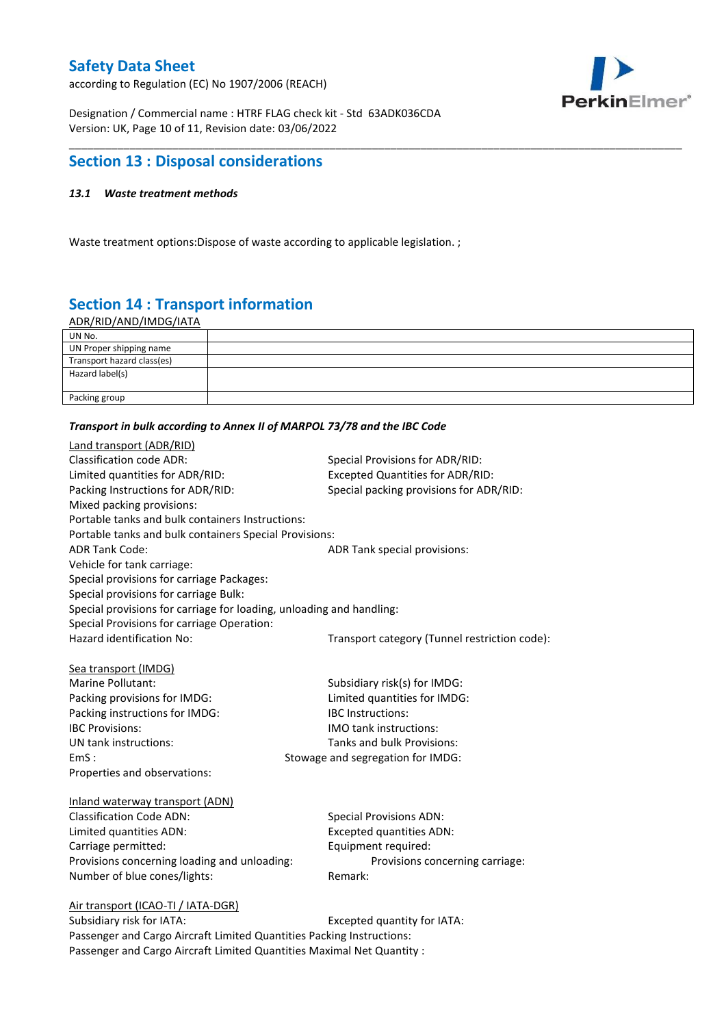according to Regulation (EC) No 1907/2006 (REACH)



Designation / Commercial name : HTRF FLAG check kit - Std 63ADK036CDA Version: UK, Page 10 of 11, Revision date: 03/06/2022

## **Section 13 : Disposal considerations**

### *13.1 Waste treatment methods*

Waste treatment options: Dispose of waste according to applicable legislation. ;

# **Section 14 : Transport information**

ADR/RID/AND/IMDG/IATA

| UN No.                     |  |
|----------------------------|--|
| UN Proper shipping name    |  |
| Transport hazard class(es) |  |
| Hazard label(s)            |  |
|                            |  |
| Packing group              |  |

\_\_\_\_\_\_\_\_\_\_\_\_\_\_\_\_\_\_\_\_\_\_\_\_\_\_\_\_\_\_\_\_\_\_\_\_\_\_\_\_\_\_\_\_\_\_\_\_\_\_\_\_\_\_\_\_\_\_\_\_\_\_\_\_\_\_\_\_\_\_\_\_\_\_\_\_\_\_\_\_\_\_\_\_\_\_\_\_\_\_\_\_\_\_\_\_\_\_\_\_\_

#### *Transport in bulk according to Annex II of MARPOL 73/78 and the IBC Code*

| Land transport (ADR/RID)                                             |                                               |
|----------------------------------------------------------------------|-----------------------------------------------|
| <b>Classification code ADR:</b>                                      | Special Provisions for ADR/RID:               |
| Limited quantities for ADR/RID:                                      | <b>Excepted Quantities for ADR/RID:</b>       |
| Packing Instructions for ADR/RID:                                    | Special packing provisions for ADR/RID:       |
| Mixed packing provisions:                                            |                                               |
| Portable tanks and bulk containers Instructions:                     |                                               |
| Portable tanks and bulk containers Special Provisions:               |                                               |
| <b>ADR Tank Code:</b>                                                | ADR Tank special provisions:                  |
| Vehicle for tank carriage:                                           |                                               |
| Special provisions for carriage Packages:                            |                                               |
| Special provisions for carriage Bulk:                                |                                               |
| Special provisions for carriage for loading, unloading and handling: |                                               |
| Special Provisions for carriage Operation:                           |                                               |
| Hazard identification No:                                            | Transport category (Tunnel restriction code): |
|                                                                      |                                               |
| Sea transport (IMDG)                                                 |                                               |
| Marine Pollutant:                                                    | Subsidiary risk(s) for IMDG:                  |
| Packing provisions for IMDG:                                         | Limited quantities for IMDG:                  |
| Packing instructions for IMDG:                                       | <b>IBC</b> Instructions:                      |
| <b>IBC Provisions:</b>                                               | IMO tank instructions:                        |
| UN tank instructions:                                                | Tanks and bulk Provisions:                    |
| EmS:                                                                 | Stowage and segregation for IMDG:             |
| Properties and observations:                                         |                                               |
| Inland waterway transport (ADN)                                      |                                               |
| <b>Classification Code ADN:</b>                                      | <b>Special Provisions ADN:</b>                |
| Limited quantities ADN:                                              | <b>Excepted quantities ADN:</b>               |
| Carriage permitted:                                                  | Equipment required:                           |
| Provisions concerning loading and unloading:                         | Provisions concerning carriage:               |
| Number of blue cones/lights:                                         | Remark:                                       |
|                                                                      |                                               |
| Air transport (ICAO-TI / IATA-DGR)                                   |                                               |
| Subcidiary rick for IATA.                                            | Evranted quantity for IATA.                   |

Subsidiary risk for IATA: Excepted quantity for IATA: Passenger and Cargo Aircraft Limited Quantities Packing Instructions: Passenger and Cargo Aircraft Limited Quantities Maximal Net Quantity :